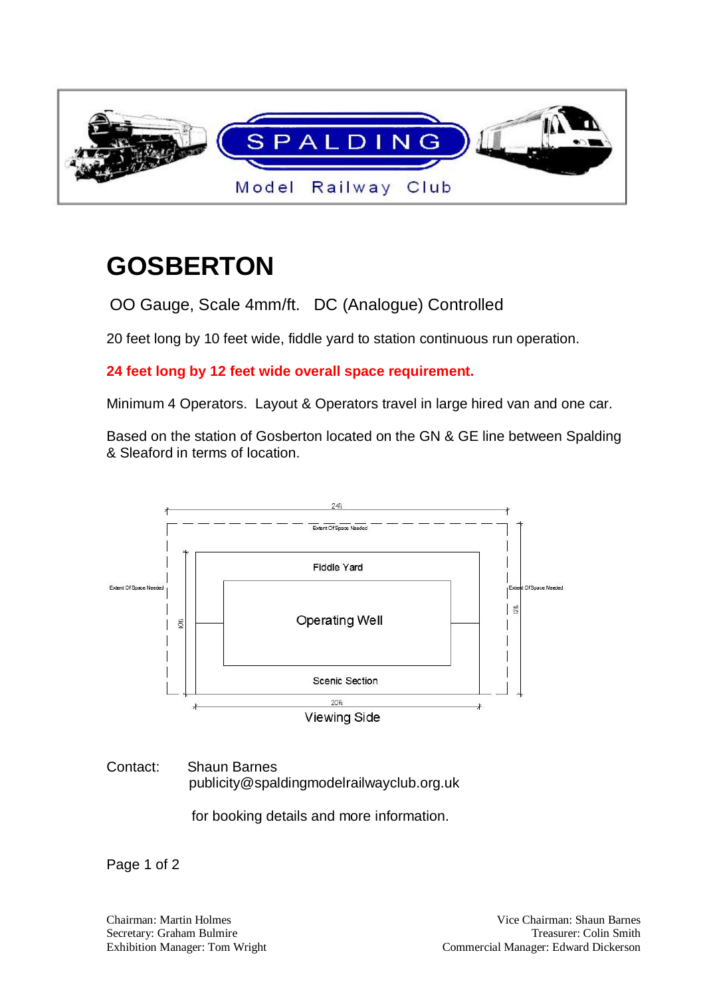

## **GOSBERTON**

OO Gauge, Scale 4mm/ft. DC (Analogue) Controlled

20 feet long by 10 feet wide, fiddle yard to station continuous run operation.

**24 feet long by 12 feet wide overall space requirement.**

Minimum 4 Operators. Layout & Operators travel in large hired van and one car.

Based on the station of Gosberton located on the GN & GE line between Spalding & Sleaford in terms of location.



## Contact: Shaun Barnes publicity@spaldingmodelrailwayclub.org.uk

for booking details and more information.

Page 1 of 2

Secretary: Graham Bulmire